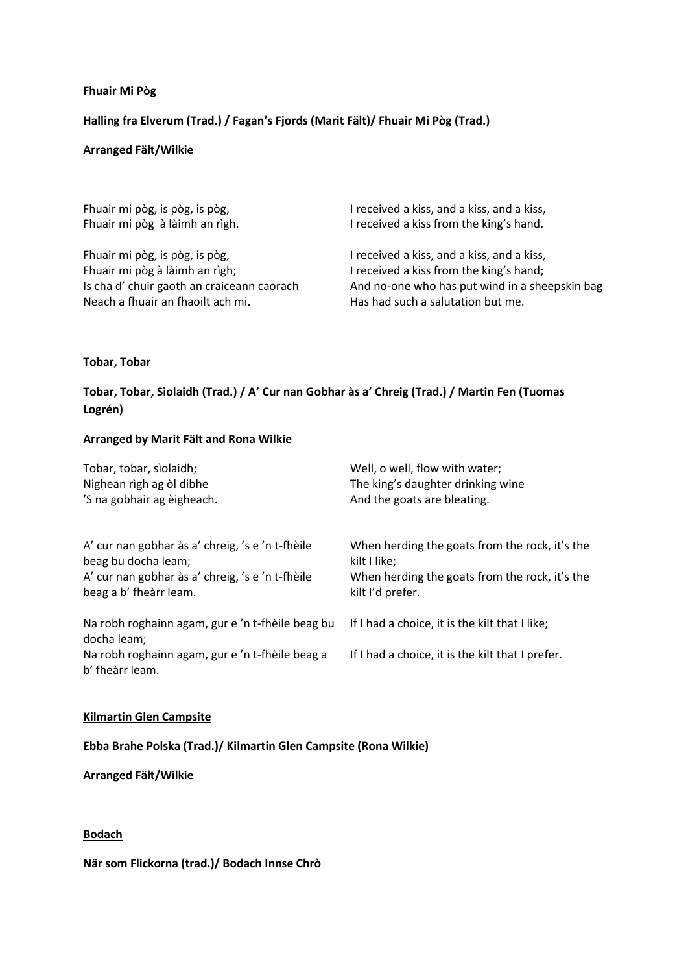# **Fhuair Mi Pòg**

# **Halling fra Elverum (Trad.) / Fagan's Fjords (Marit Fält)/ Fhuair Mi Pòg (Trad.)**

#### **Arranged Fält/Wilkie**

Fhuair mi pòg, is pòg, is pòg, Fhuair mi pòg à làimh an rìgh.

Fhuair mi pòg, is pòg, is pòg, Fhuair mi pòg à làimh an rìgh; Is cha d' chuir gaoth an craiceann caorach Neach a fhuair an fhaoilt ach mi.

I received a kiss, and a kiss, and a kiss, I received a kiss from the king's hand.

I received a kiss, and a kiss, and a kiss, I received a kiss from the king's hand; And no-one who has put wind in a sheepskin bag Has had such a salutation but me.

# **Tobar, Tobar**

# **Tobar, Tobar, Sìolaidh (Trad.) / A' Cur nan Gobhar às a' Chreig (Trad.) / Martin Fen (Tuomas Logrén)**

#### **Arranged by Marit Fält and Rona Wilkie**

| Tobar, tobar, sìolaidh;<br>Nighean rìgh ag òl dibhe<br>'S na gobhair ag èigheach. | Well, o well, flow with water;                                     |                                                                         |
|-----------------------------------------------------------------------------------|--------------------------------------------------------------------|-------------------------------------------------------------------------|
|                                                                                   | The king's daughter drinking wine<br>And the goats are bleating.   |                                                                         |
|                                                                                   |                                                                    | A' cur nan gobhar às a' chreig, 's e 'n t-fhèile<br>beag bu docha leam; |
| A' cur nan gobhar às a' chreig, 's e 'n t-fhèile<br>beag a b' fheàrr leam.        | When herding the goats from the rock, it's the<br>kilt I'd prefer. |                                                                         |
| Na robh roghainn agam, gur e 'n t-fhèile beag bu<br>docha leam;                   | If I had a choice, it is the kilt that I like;                     |                                                                         |
| Na robh roghainn agam, gur e 'n t-fhèile beag a<br>b' fheàrr leam.                | If I had a choice, it is the kilt that I prefer.                   |                                                                         |

#### **Kilmartin Glen Campsite**

# **Ebba Brahe Polska (Trad.)/ Kilmartin Glen Campsite (Rona Wilkie)**

**Arranged Fält/Wilkie**

**Bodach**

**När som Flickorna (trad.)/ Bodach Innse Chrò**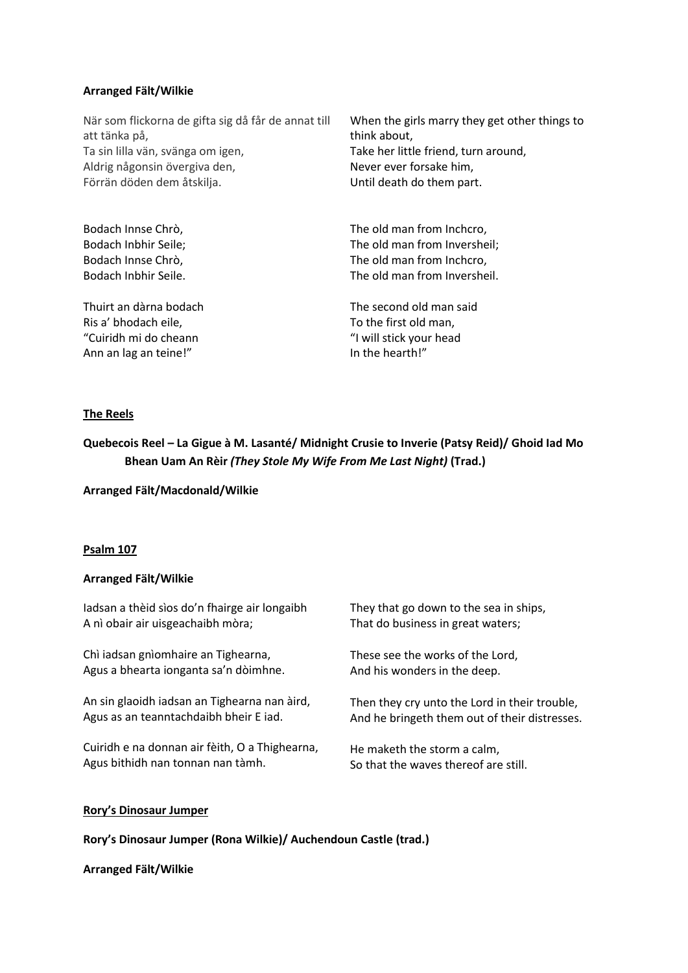#### **Arranged Fält/Wilkie**

När som flickorna de gifta sig då får de annat till att tänka på, Ta sin lilla vän, svänga om igen, Aldrig någonsin övergiva den, Förrän döden dem åtskilja.

Bodach Innse Chrò, Bodach Inbhir Seile; Bodach Innse Chrò, Bodach Inbhir Seile.

Thuirt an dàrna bodach Ris a' bhodach eile, "Cuiridh mi do cheann Ann an lag an teine!"

When the girls marry they get other things to think about, Take her little friend, turn around, Never ever forsake him, Until death do them part.

The old man from Inchcro, The old man from Inversheil; The old man from Inchcro, The old man from Inversheil.

The second old man said To the first old man, "I will stick your head In the hearth!"

# **The Reels**

**Quebecois Reel – La Gigue à M. Lasanté/ Midnight Crusie to Inverie (Patsy Reid)/ Ghoid Iad Mo Bhean Uam An Rèir** *(They Stole My Wife From Me Last Night)* **(Trad.)**

**Arranged Fält/Macdonald/Wilkie**

# **Psalm 107**

#### **Arranged Fält/Wilkie**

| ladsan a thèid sìos do'n fhairge air longaibh  | They that go down to the sea in ships,        |
|------------------------------------------------|-----------------------------------------------|
| A nì obair air uisgeachaibh mòra;              | That do business in great waters;             |
| Chì iadsan gnìomhaire an Tighearna,            | These see the works of the Lord,              |
| Agus a bhearta ionganta sa'n dòimhne.          | And his wonders in the deep.                  |
| An sin glaoidh iadsan an Tighearna nan àird,   | Then they cry unto the Lord in their trouble, |
| Agus as an teanntachdaibh bheir E iad.         | And he bringeth them out of their distresses. |
| Cuiridh e na donnan air fèith, O a Thighearna, | He maketh the storm a calm,                   |
| Agus bithidh nan tonnan nan tàmh.              | So that the waves thereof are still.          |

# **Rory's Dinosaur Jumper**

**Rory's Dinosaur Jumper (Rona Wilkie)/ Auchendoun Castle (trad.)**

**Arranged Fält/Wilkie**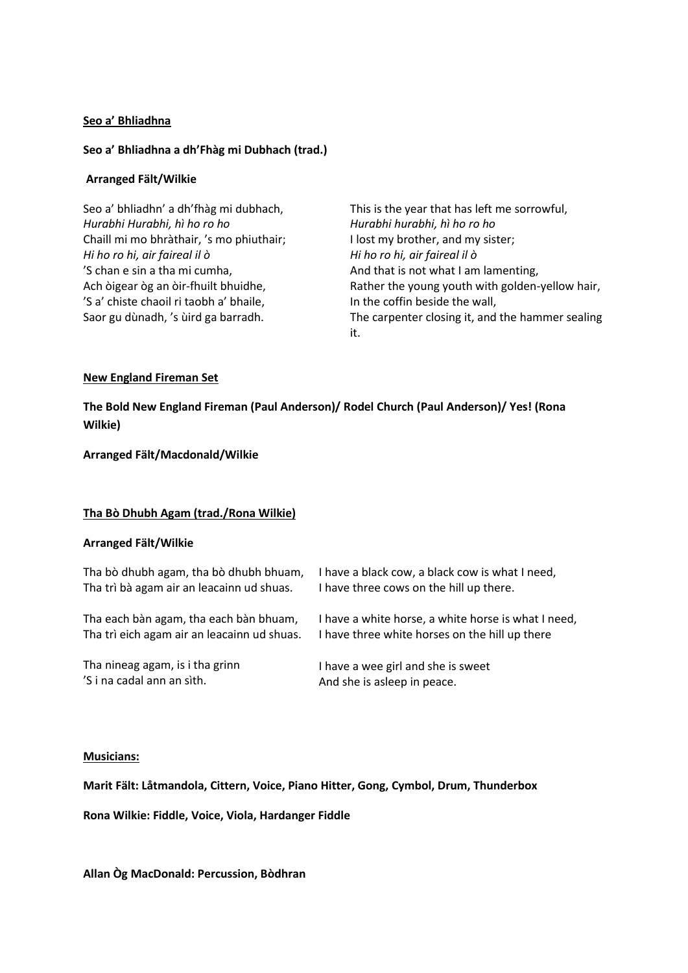### **Seo a' Bhliadhna**

#### **Seo a' Bhliadhna a dh'Fhàg mi Dubhach (trad.)**

#### **Arranged Fält/Wilkie**

Seo a' bhliadhn' a dh'fhàg mi dubhach, *Hurabhi Hurabhi, hì ho ro ho* Chaill mi mo bhràthair, 's mo phiuthair; *Hi ho ro hi, air faireal il ò* 'S chan e sin a tha mi cumha, Ach òigear òg an òir-fhuilt bhuidhe, 'S a' chiste chaoil ri taobh a' bhaile, Saor gu dùnadh, 's ùird ga barradh.

This is the year that has left me sorrowful, *Hurabhi hurabhi, hì ho ro ho* I lost my brother, and my sister; *Hi ho ro hi, air faireal il ò* And that is not what I am lamenting, Rather the young youth with golden-yellow hair, In the coffin beside the wall, The carpenter closing it, and the hammer sealing it.

# **New England Fireman Set**

**The Bold New England Fireman (Paul Anderson)/ Rodel Church (Paul Anderson)/ Yes! (Rona Wilkie)**

**Arranged Fält/Macdonald/Wilkie**

# **Tha Bò Dhubh Agam (trad./Rona Wilkie)**

#### **Arranged Fält/Wilkie**

| Tha bò dhubh agam, tha bò dhubh bhuam,      | I have a black cow, a black cow is what I need,     |
|---------------------------------------------|-----------------------------------------------------|
| Tha trì bà agam air an leacainn ud shuas.   | I have three cows on the hill up there.             |
| Tha each bàn agam, tha each bàn bhuam,      | I have a white horse, a white horse is what I need, |
| Tha trì eich agam air an leacainn ud shuas. | I have three white horses on the hill up there      |
| Tha nineag agam, is i tha grinn             | I have a wee girl and she is sweet                  |
| 'S i na cadal ann an sìth.                  | And she is asleep in peace.                         |

#### **Musicians:**

**Marit Fält: Låtmandola, Cittern, Voice, Piano Hitter, Gong, Cymbol, Drum, Thunderbox** 

**Rona Wilkie: Fiddle, Voice, Viola, Hardanger Fiddle**

**Allan Òg MacDonald: Percussion, Bòdhran**